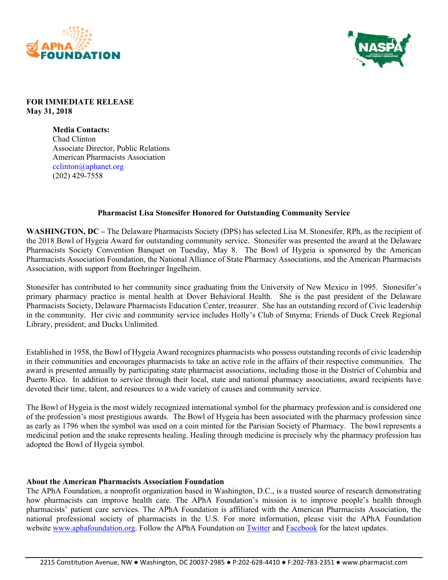



## **FOR IMMEDIATE RELEASE May 31, 2018**

**Media Contacts:**  Chad Clinton Associate Director, Public Relations American Pharmacists Association cclinton@aphanet.org (202) 429-7558

## **Pharmacist Lisa Stonesifer Honored for Outstanding Community Service**

**WASHINGTON, DC –** The Delaware Pharmacists Society (DPS) has selected Lisa M. Stonesifer, RPh, as the recipient of the 2018 Bowl of Hygeia Award for outstanding community service. Stonesifer was presented the award at the Delaware Pharmacists Society Convention Banquet on Tuesday, May 8. The Bowl of Hygeia is sponsored by the American Pharmacists Association Foundation, the National Alliance of State Pharmacy Associations, and the American Pharmacists Association, with support from Boehringer Ingelheim.

Stonesifer has contributed to her community since graduating from the University of New Mexico in 1995. Stonesifer's primary pharmacy practice is mental health at Dover Behavioral Health. She is the past president of the Delaware Pharmacists Society, Delaware Pharmacists Education Center, treasurer. She has an outstanding record of Civic leadership in the community. Her civic and community service includes Holly's Club of Smyrna; Friends of Duck Creek Regional Library, president; and Ducks Unlimited.

Established in 1958, the Bowl of Hygeia Award recognizes pharmacists who possess outstanding records of civic leadership in their communities and encourages pharmacists to take an active role in the affairs of their respective communities. The award is presented annually by participating state pharmacist associations, including those in the District of Columbia and Puerto Rico. In addition to service through their local, state and national pharmacy associations, award recipients have devoted their time, talent, and resources to a wide variety of causes and community service.

The Bowl of Hygeia is the most widely recognized international symbol for the pharmacy profession and is considered one of the profession's most prestigious awards. The Bowl of Hygeia has been associated with the pharmacy profession since as early as 1796 when the symbol was used on a coin minted for the Parisian Society of Pharmacy. The bowl represents a medicinal potion and the snake represents healing. Healing through medicine is precisely why the pharmacy profession has adopted the Bowl of Hygeia symbol.

## **About the American Pharmacists Association Foundation**

The APhA Foundation, a nonprofit organization based in Washington, D.C., is a trusted source of research demonstrating how pharmacists can improve health care. The APhA Foundation's mission is to improve people's health through pharmacists' patient care services. The APhA Foundation is affiliated with the American Pharmacists Association, the national professional society of pharmacists in the U.S. For more information, please visit the APhA Foundation website www.aphafoundation.org. Follow the APhA Foundation on Twitter and Facebook for the latest updates.